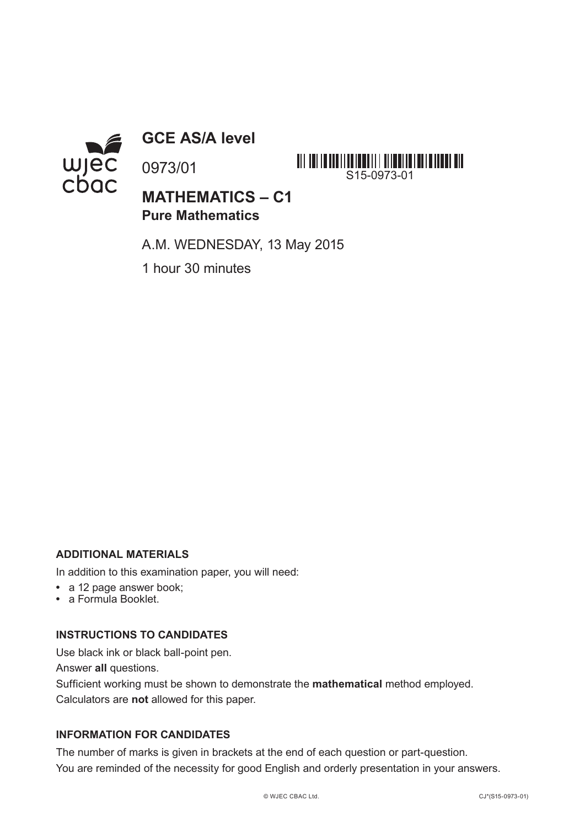

**GCE AS/A level**

0973/01

**MATHEMATICS – C1 Pure Mathematics**

A.M. WEDNESDAY, 13 May 2015

S15-0973-01

**TIT THE ENTIRE ENDING: IN ENTIRE AND ALL AND ALL** 

1 hour 30 minutes

## **ADDITIONAL MATERIALS**

In addition to this examination paper, you will need:

- **•** a 12 page answer book;
- **•** a Formula Booklet.

## **INSTRUCTIONS TO CANDIDATES**

Use black ink or black ball-point pen.

Answer **all** questions.

Sufficient working must be shown to demonstrate the **mathematical** method employed. Calculators are **not** allowed for this paper.

## **INFORMATION FOR CANDIDATES**

The number of marks is given in brackets at the end of each question or part-question. You are reminded of the necessity for good English and orderly presentation in your answers.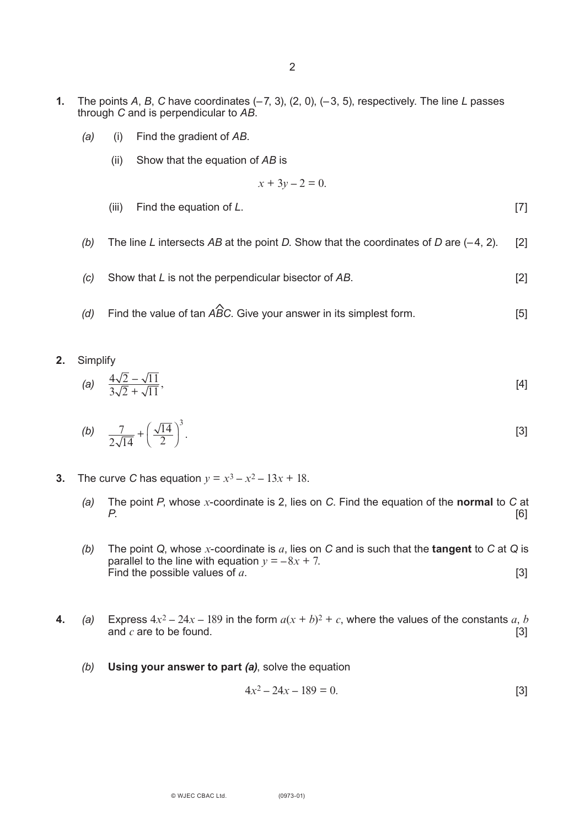- **1.** The points *A*, *B*, *C* have coordinates (–7, 3), (2, 0), (–3, 5), respectively. The line *L* passes through *C* and is perpendicular to *AB*.
	- *(a)* (i) Find the gradient of *AB*.
		- (ii) Show that the equation of *AB* is

$$
x+3y-2=0.
$$

- (iii) Find the equation of *L*.
- *(b)* The line *L* intersects *AB* at the point *D*. Show that the coordinates of *D* are (–4, 2). [2]
- *(c)* Show that *L* is not the perpendicular bisector of *AB*. [2]
- (d) Find the value of tan  $\angle ABC$ . Give your answer in its simplest form.  $[5]$
- **2.** Simplify

(a) 
$$
\frac{4\sqrt{2} - \sqrt{11}}{3\sqrt{2} + \sqrt{11}}
$$
, [4]

(b) 
$$
\frac{7}{2\sqrt{14}} + \left(\frac{\sqrt{14}}{2}\right)^3
$$
. [3]

- **3.** The curve *C* has equation  $y = x^3 x^2 13x + 18$ .
	- *(a)* The point *P*, whose *x*-coordinate is 2, lies on *C*. Find the equation of the **normal** to *C* at *P*. [6]
	- *(b)* The point *Q*, whose *x*-coordinate is *a*, lies on *C* and is such that the **tangent** to *C* at *Q* is parallel to the line with equation  $y = -8x + 7$ . Find the possible values of *a*. [3]
- **4.** *(a)* Express  $4x^2 24x 189$  in the form  $a(x + b)^2 + c$ , where the values of the constants *a*, *b* and *c* are to be found. [3] and  $c$  are to be found.
	- *(b)* **Using your answer to part** *(a)*, solve the equation

$$
4x^2 - 24x - 189 = 0.
$$
 [3]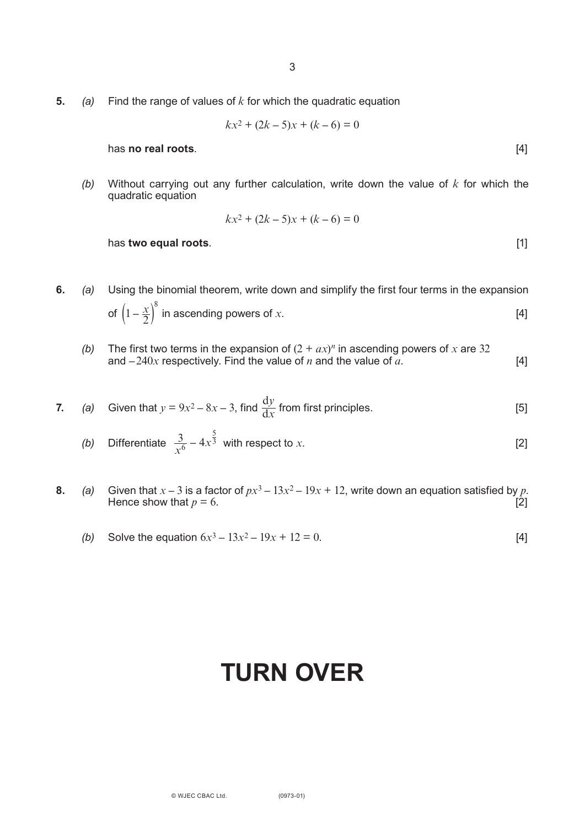**5.** *(a)* Find the range of values of *k* for which the quadratic equation

$$
kx^2 + (2k - 5)x + (k - 6) = 0
$$

#### has **no real roots**. [4]

*(b)* Without carrying out any further calculation, write down the value of *k* for which the quadratic equation

$$
kx^2 + (2k - 5)x + (k - 6) = 0
$$

### has **two equal roots**. [1]

**6.** *(a)* Using the binomial theorem, write down and simplify the first four terms in the expansion of  $\left(1-\frac{x}{2}\right)$  in ascending powers of *x*. [4]  $\left(1-\frac{x}{2}\right)^8$ 

*(b)* The first two terms in the expansion of  $(2 + ax)^n$  in ascending powers of x are 32 and  $-240x$  respectively. Find the value of *n* and the value of *a*. [4]

7. (a) Given that 
$$
y = 9x^2 - 8x - 3
$$
, find  $\frac{dy}{dx}$  from first principles. [5]

(b) Differentiate 
$$
\frac{3}{x^6} - 4x^{\frac{5}{3}}
$$
 with respect to x. [2]

- **8.** *(a)* Given that  $x 3$  is a factor of  $px^3 13x^2 19x + 12$ , write down an equation satisfied by *p*. [2] Hence show that  $p = 6$ .
	- *(b)* Solve the equation  $6x^3 13x^2 19x + 12 = 0$ . [4]

# **Turn oveR**